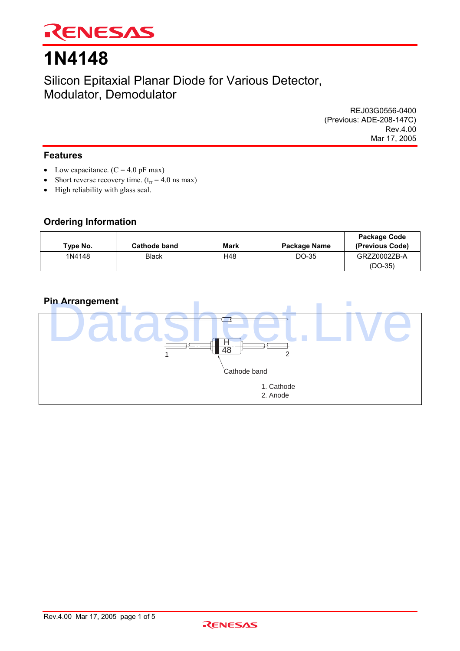

# **1N4148**

Silicon Epitaxial Planar Diode for Various Detector, Modulator, Demodulator

> REJ03G0556-0400 (Previous: ADE-208-147C) Rev.4.00 Mar 17, 2005

### **Features**

- Low capacitance.  $(C = 4.0 \text{ pF max})$
- Short reverse recovery time.  $(t_{rr} = 4.0 \text{ ns max})$
- High reliability with glass seal.

### **Ordering Information**

| lvpe No. | <b>Cathode band</b> | <b>Mark</b> | Package Name | Package Code<br>(Previous Code) |
|----------|---------------------|-------------|--------------|---------------------------------|
| 1N4148   | <b>Black</b>        | H48         | DO-35        | GRZZ0002ZB-A<br>$(DO-35)$       |

### **Pin Arrangement**



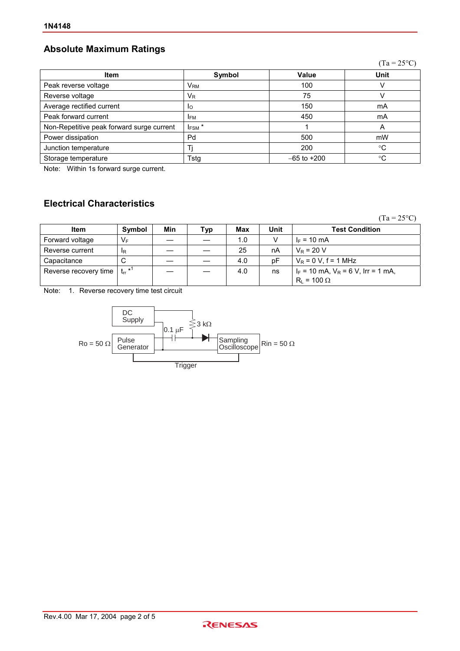## **Absolute Maximum Ratings**

|                                           |                          |                 | $(Ta = 25^{\circ}C)$ |
|-------------------------------------------|--------------------------|-----------------|----------------------|
| <b>Item</b>                               | Symbol                   | Value           | <b>Unit</b>          |
| Peak reverse voltage                      | $\mathsf{V}_\mathsf{RM}$ | 100             |                      |
| Reverse voltage                           | $V_{R}$                  | 75              |                      |
| Average rectified current                 | Ιo                       | 150             | mA                   |
| Peak forward current                      | <b>IFM</b>               | 450             | mA                   |
| Non-Repetitive peak forward surge current | $I_{FSM}$ <sup>*</sup>   |                 | Α                    |
| Power dissipation                         | Pd                       | 500             | mW                   |
| Junction temperature                      |                          | 200             | °C                   |
| Storage temperature                       | Tstg                     | $-65$ to $+200$ | °C                   |
|                                           |                          |                 |                      |

Note: Within 1s forward surge current.

### **Electrical Characteristics**

 $(Ta = 25^{\circ}C)$ 

| <b>Item</b>           | Symbol    | Min | Typ | Max | Unit | <b>Test Condition</b>                   |
|-----------------------|-----------|-----|-----|-----|------|-----------------------------------------|
| Forward voltage       | $V_F$     |     |     | 1.0 |      | $I_F = 10$ mA                           |
| Reverse current       | <b>IR</b> |     |     | 25  | nA   | $V_R = 20 V$                            |
| Capacitance           | C         |     |     | 4.0 | рF   | $V_R = 0 V$ , f = 1 MHz                 |
| Reverse recovery time | $tr^{1}$  |     |     | 4.0 | ns   | $l_F$ = 10 mA, $V_R$ = 6 V, Irr = 1 mA, |
|                       |           |     |     |     |      | $R_L$ = 100 $\Omega$                    |

Note: 1. Reverse recovery time test circuit



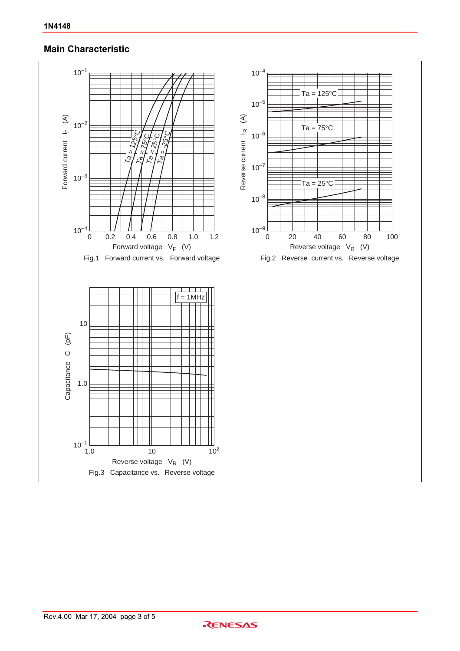### **Main Characteristic**

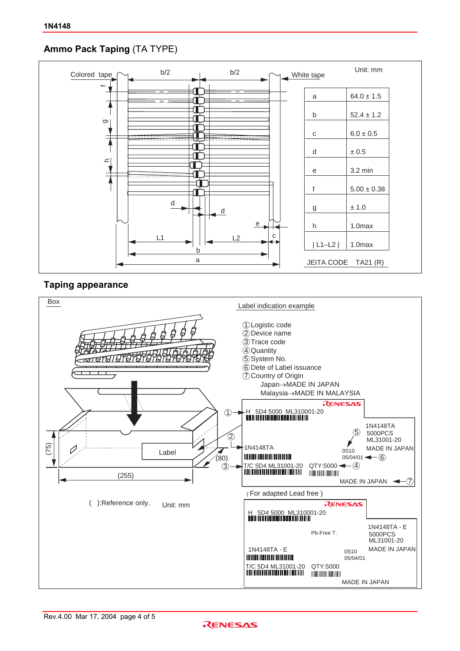### **Ammo Pack Taping** (TA TYPE)



### **Taping appearance**



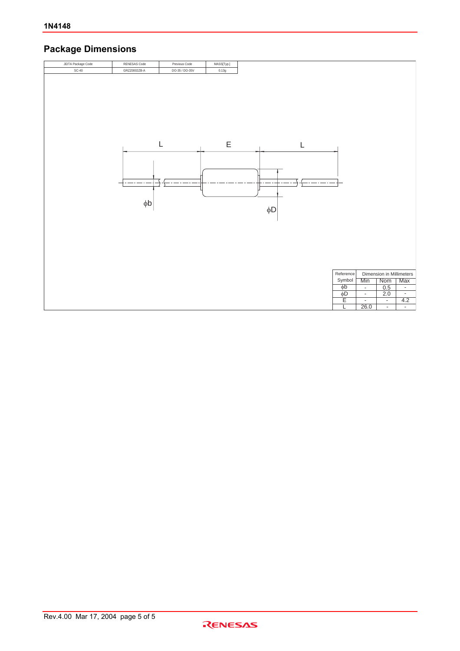## **Package Dimensions**